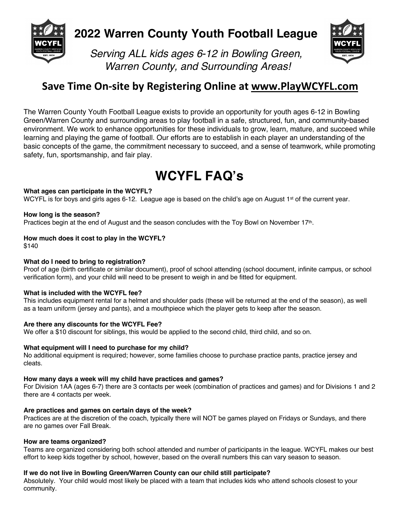

## **2022 Warren County Youth Football League**



*Serving ALL kids ages 6-12 in Bowling Green, Warren County, and Surrounding Areas!*

### **Save Time On-site by Registering Online at www.PlayWCYFL.com**

The Warren County Youth Football League exists to provide an opportunity for youth ages 6-12 in Bowling Green/Warren County and surrounding areas to play football in a safe, structured, fun, and community-based environment. We work to enhance opportunities for these individuals to grow, learn, mature, and succeed while learning and playing the game of football. Our efforts are to establish in each player an understanding of the basic concepts of the game, the commitment necessary to succeed, and a sense of teamwork, while promoting safety, fun, sportsmanship, and fair play.

# **WCYFL FAQ's**

#### **What ages can participate in the WCYFL?**

WCYFL is for boys and girls ages 6-12. League age is based on the child's age on August 1<sup>st</sup> of the current year.

#### **How long is the season?**

Practices begin at the end of August and the season concludes with the Toy Bowl on November 17th.

#### **How much does it cost to play in the WCYFL?**

\$140

#### **What do I need to bring to registration?**

Proof of age (birth certificate or similar document), proof of school attending (school document, infinite campus, or school verification form), and your child will need to be present to weigh in and be fitted for equipment.

#### **What is included with the WCYFL fee?**

This includes equipment rental for a helmet and shoulder pads (these will be returned at the end of the season), as well as a team uniform (jersey and pants), and a mouthpiece which the player gets to keep after the season.

#### **Are there any discounts for the WCYFL Fee?**

We offer a \$10 discount for siblings, this would be applied to the second child, third child, and so on.

#### **What equipment will I need to purchase for my child?**

No additional equipment is required; however, some families choose to purchase practice pants, practice jersey and cleats.

#### **How many days a week will my child have practices and games?**

For Division 1AA (ages 6-7) there are 3 contacts per week (combination of practices and games) and for Divisions 1 and 2 there are 4 contacts per week.

#### **Are practices and games on certain days of the week?**

Practices are at the discretion of the coach, typically there will NOT be games played on Fridays or Sundays, and there are no games over Fall Break.

#### **How are teams organized?**

Teams are organized considering both school attended and number of participants in the league. WCYFL makes our best effort to keep kids together by school, however, based on the overall numbers this can vary season to season.

#### **If we do not live in Bowling Green/Warren County can our child still participate?**

Absolutely. Your child would most likely be placed with a team that includes kids who attend schools closest to your community.